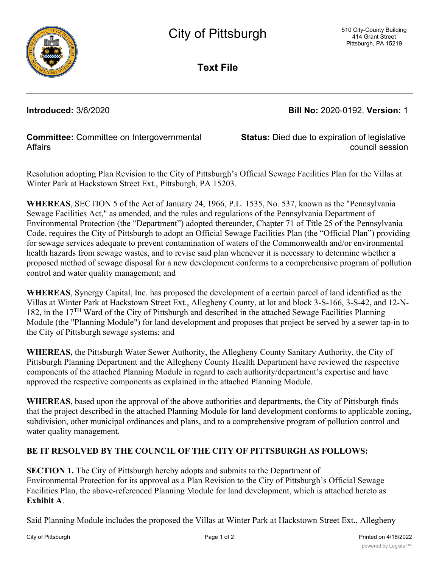

**Text File**

**Introduced:** 3/6/2020 **Bill No:** 2020-0192, **Version:** 1

## **Committee:** Committee on Intergovernmental **Affairs**

**Status:** Died due to expiration of legislative council session

Resolution adopting Plan Revision to the City of Pittsburgh's Official Sewage Facilities Plan for the Villas at Winter Park at Hackstown Street Ext., Pittsburgh, PA 15203.

**WHEREAS**, SECTION 5 of the Act of January 24, 1966, P.L. 1535, No. 537, known as the "Pennsylvania Sewage Facilities Act," as amended, and the rules and regulations of the Pennsylvania Department of Environmental Protection (the "Department") adopted thereunder, Chapter 71 of Title 25 of the Pennsylvania Code, requires the City of Pittsburgh to adopt an Official Sewage Facilities Plan (the "Official Plan") providing for sewage services adequate to prevent contamination of waters of the Commonwealth and/or environmental health hazards from sewage wastes, and to revise said plan whenever it is necessary to determine whether a proposed method of sewage disposal for a new development conforms to a comprehensive program of pollution control and water quality management; and

**WHEREAS**, Synergy Capital, Inc. has proposed the development of a certain parcel of land identified as the Villas at Winter Park at Hackstown Street Ext., Allegheny County, at lot and block 3-S-166, 3-S-42, and 12-N-182, in the 17TH Ward of the City of Pittsburgh and described in the attached Sewage Facilities Planning Module (the "Planning Module") for land development and proposes that project be served by a sewer tap-in to the City of Pittsburgh sewage systems; and

**WHEREAS,** the Pittsburgh Water Sewer Authority, the Allegheny County Sanitary Authority, the City of Pittsburgh Planning Department and the Allegheny County Health Department have reviewed the respective components of the attached Planning Module in regard to each authority/department's expertise and have approved the respective components as explained in the attached Planning Module.

**WHEREAS**, based upon the approval of the above authorities and departments, the City of Pittsburgh finds that the project described in the attached Planning Module for land development conforms to applicable zoning, subdivision, other municipal ordinances and plans, and to a comprehensive program of pollution control and water quality management.

## **BE IT RESOLVED BY THE COUNCIL OF THE CITY OF PITTSBURGH AS FOLLOWS:**

**SECTION 1.** The City of Pittsburgh hereby adopts and submits to the Department of Environmental Protection for its approval as a Plan Revision to the City of Pittsburgh's Official Sewage Facilities Plan, the above-referenced Planning Module for land development, which is attached hereto as **Exhibit A**.

Said Planning Module includes the proposed the Villas at Winter Park at Hackstown Street Ext., Allegheny  $\overline{ }$